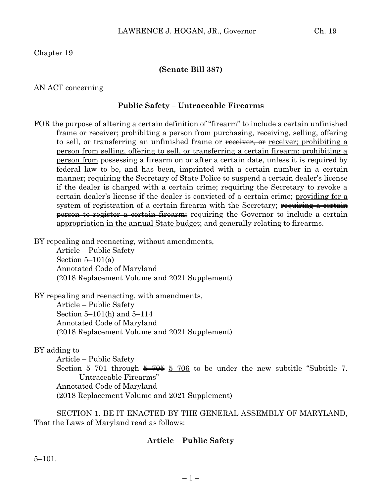Chapter 19

#### **(Senate Bill 387)**

#### AN ACT concerning

#### **Public Safety – Untraceable Firearms**

FOR the purpose of altering a certain definition of "firearm" to include a certain unfinished frame or receiver; prohibiting a person from purchasing, receiving, selling, offering to sell, or transferring an unfinished frame or receiver, or receiver; prohibiting a person from selling, offering to sell, or transferring a certain firearm; prohibiting a person from possessing a firearm on or after a certain date, unless it is required by federal law to be, and has been, imprinted with a certain number in a certain manner; requiring the Secretary of State Police to suspend a certain dealer's license if the dealer is charged with a certain crime; requiring the Secretary to revoke a certain dealer's license if the dealer is convicted of a certain crime; providing for a system of registration of a certain firearm with the Secretary; requiring a certain person to register a certain firearm; requiring the Governor to include a certain appropriation in the annual State budget; and generally relating to firearms.

BY repealing and reenacting, without amendments,

Article – Public Safety Section  $5-101(a)$ Annotated Code of Maryland (2018 Replacement Volume and 2021 Supplement)

BY repealing and reenacting, with amendments, Article – Public Safety Section 5–101(h) and 5–114 Annotated Code of Maryland (2018 Replacement Volume and 2021 Supplement)

BY adding to

Article – Public Safety Section 5–701 through  $\frac{5-706}{5-706}$  to be under the new subtitle "Subtitle 7. Untraceable Firearms" Annotated Code of Maryland (2018 Replacement Volume and 2021 Supplement)

SECTION 1. BE IT ENACTED BY THE GENERAL ASSEMBLY OF MARYLAND, That the Laws of Maryland read as follows:

#### **Article – Public Safety**

5–101.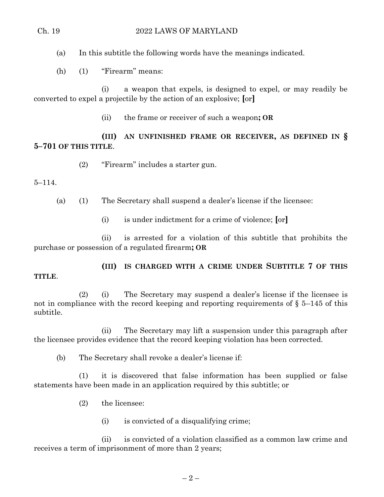(a) In this subtitle the following words have the meanings indicated.

(h) (1) "Firearm" means:

(i) a weapon that expels, is designed to expel, or may readily be converted to expel a projectile by the action of an explosive; **[**or**]**

(ii) the frame or receiver of such a weapon**; OR** 

**(III) AN UNFINISHED FRAME OR RECEIVER, AS DEFINED IN § 5–701 OF THIS TITLE**.

(2) "Firearm" includes a starter gun.

#### 5–114.

**TITLE**.

(a) (1) The Secretary shall suspend a dealer's license if the licensee:

(i) is under indictment for a crime of violence; **[**or**]**

(ii) is arrested for a violation of this subtitle that prohibits the purchase or possession of a regulated firearm**; OR** 

# **(III) IS CHARGED WITH A CRIME UNDER SUBTITLE 7 OF THIS**

#### (2) (i) The Secretary may suspend a dealer's license if the licensee is not in compliance with the record keeping and reporting requirements of  $\S$  5–145 of this subtitle.

(ii) The Secretary may lift a suspension under this paragraph after the licensee provides evidence that the record keeping violation has been corrected.

(b) The Secretary shall revoke a dealer's license if:

(1) it is discovered that false information has been supplied or false statements have been made in an application required by this subtitle; or

- (2) the licensee:
	- (i) is convicted of a disqualifying crime;

(ii) is convicted of a violation classified as a common law crime and receives a term of imprisonment of more than 2 years;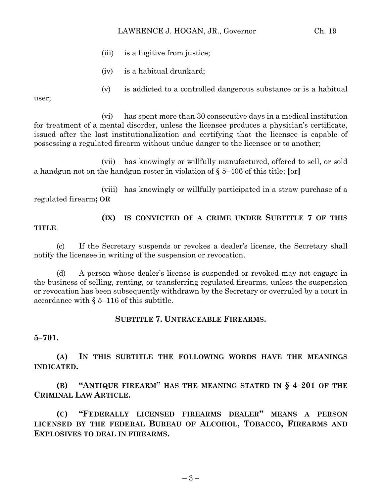#### LAWRENCE J. HOGAN, JR., Governor Ch. 19

- (iii) is a fugitive from justice;
- (iv) is a habitual drunkard;
- (v) is addicted to a controlled dangerous substance or is a habitual

user;

(vi) has spent more than 30 consecutive days in a medical institution for treatment of a mental disorder, unless the licensee produces a physician's certificate, issued after the last institutionalization and certifying that the licensee is capable of possessing a regulated firearm without undue danger to the licensee or to another;

(vii) has knowingly or willfully manufactured, offered to sell, or sold a handgun not on the handgun roster in violation of § 5–406 of this title; **[**or**]**

(viii) has knowingly or willfully participated in a straw purchase of a regulated firearm**; OR** 

**TITLE**.

## **(IX) IS CONVICTED OF A CRIME UNDER SUBTITLE 7 OF THIS**

(c) If the Secretary suspends or revokes a dealer's license, the Secretary shall notify the licensee in writing of the suspension or revocation.

(d) A person whose dealer's license is suspended or revoked may not engage in the business of selling, renting, or transferring regulated firearms, unless the suspension or revocation has been subsequently withdrawn by the Secretary or overruled by a court in accordance with § 5–116 of this subtitle.

#### **SUBTITLE 7. UNTRACEABLE FIREARMS.**

**5–701.**

**(A) IN THIS SUBTITLE THE FOLLOWING WORDS HAVE THE MEANINGS INDICATED.**

**(B) "ANTIQUE FIREARM" HAS THE MEANING STATED IN § 4–201 OF THE CRIMINAL LAW ARTICLE.**

**(C) "FEDERALLY LICENSED FIREARMS DEALER" MEANS A PERSON LICENSED BY THE FEDERAL BUREAU OF ALCOHOL, TOBACCO, FIREARMS AND EXPLOSIVES TO DEAL IN FIREARMS.**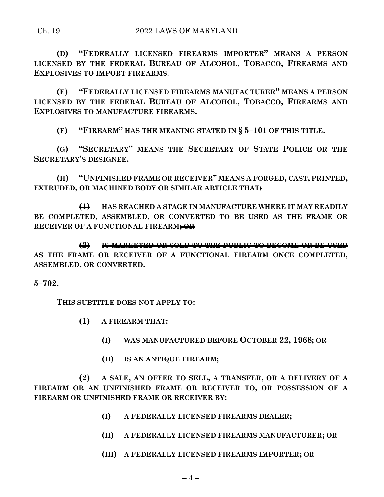**(D) "FEDERALLY LICENSED FIREARMS IMPORTER" MEANS A PERSON LICENSED BY THE FEDERAL BUREAU OF ALCOHOL, TOBACCO, FIREARMS AND EXPLOSIVES TO IMPORT FIREARMS.**

**(E) "FEDERALLY LICENSED FIREARMS MANUFACTURER" MEANS A PERSON LICENSED BY THE FEDERAL BUREAU OF ALCOHOL, TOBACCO, FIREARMS AND EXPLOSIVES TO MANUFACTURE FIREARMS.**

**(F) "FIREARM" HAS THE MEANING STATED IN § 5–101 OF THIS TITLE.**

**(G) "SECRETARY" MEANS THE SECRETARY OF STATE POLICE OR THE SECRETARY'S DESIGNEE.**

**(H) "UNFINISHED FRAME OR RECEIVER" MEANS A FORGED, CAST, PRINTED, EXTRUDED, OR MACHINED BODY OR SIMILAR ARTICLE THAT:**

**(1) HAS REACHED A STAGE IN MANUFACTURE WHERE IT MAY READILY BE COMPLETED, ASSEMBLED, OR CONVERTED TO BE USED AS THE FRAME OR RECEIVER OF A FUNCTIONAL FIREARM; OR** 

**(2) IS MARKETED OR SOLD TO THE PUBLIC TO BECOME OR BE USED AS THE FRAME OR RECEIVER OF A FUNCTIONAL FIREARM ONCE COMPLETED, ASSEMBLED, OR CONVERTED.**

**5–702.**

**THIS SUBTITLE DOES NOT APPLY TO:**

- **(1) A FIREARM THAT:**
	- **(I) WAS MANUFACTURED BEFORE OCTOBER 22, 1968; OR**
	- **(II) IS AN ANTIQUE FIREARM;**

**(2) A SALE, AN OFFER TO SELL, A TRANSFER, OR A DELIVERY OF A FIREARM OR AN UNFINISHED FRAME OR RECEIVER TO, OR POSSESSION OF A FIREARM OR UNFINISHED FRAME OR RECEIVER BY:**

- **(I) A FEDERALLY LICENSED FIREARMS DEALER;**
- **(II) A FEDERALLY LICENSED FIREARMS MANUFACTURER; OR**
- **(III) A FEDERALLY LICENSED FIREARMS IMPORTER; OR**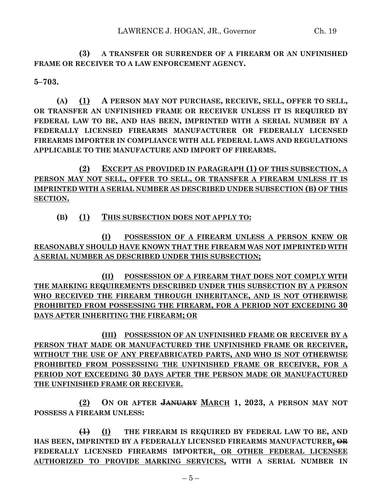**(3) A TRANSFER OR SURRENDER OF A FIREARM OR AN UNFINISHED FRAME OR RECEIVER TO A LAW ENFORCEMENT AGENCY.**

**5–703.**

**(A) (1) A PERSON MAY NOT PURCHASE, RECEIVE, SELL, OFFER TO SELL, OR TRANSFER AN UNFINISHED FRAME OR RECEIVER UNLESS IT IS REQUIRED BY FEDERAL LAW TO BE, AND HAS BEEN, IMPRINTED WITH A SERIAL NUMBER BY A FEDERALLY LICENSED FIREARMS MANUFACTURER OR FEDERALLY LICENSED FIREARMS IMPORTER IN COMPLIANCE WITH ALL FEDERAL LAWS AND REGULATIONS APPLICABLE TO THE MANUFACTURE AND IMPORT OF FIREARMS.**

**(2) EXCEPT AS PROVIDED IN PARAGRAPH (1) OF THIS SUBSECTION, A PERSON MAY NOT SELL, OFFER TO SELL, OR TRANSFER A FIREARM UNLESS IT IS IMPRINTED WITH A SERIAL NUMBER AS DESCRIBED UNDER SUBSECTION (B) OF THIS SECTION.**

#### **(B) (1) THIS SUBSECTION DOES NOT APPLY TO:**

**(I) POSSESSION OF A FIREARM UNLESS A PERSON KNEW OR REASONABLY SHOULD HAVE KNOWN THAT THE FIREARM WAS NOT IMPRINTED WITH A SERIAL NUMBER AS DESCRIBED UNDER THIS SUBSECTION;**

**(II) POSSESSION OF A FIREARM THAT DOES NOT COMPLY WITH THE MARKING REQUIREMENTS DESCRIBED UNDER THIS SUBSECTION BY A PERSON WHO RECEIVED THE FIREARM THROUGH INHERITANCE, AND IS NOT OTHERWISE PROHIBITED FROM POSSESSING THE FIREARM, FOR A PERIOD NOT EXCEEDING 30 DAYS AFTER INHERITING THE FIREARM; OR**

**(III) POSSESSION OF AN UNFINISHED FRAME OR RECEIVER BY A PERSON THAT MADE OR MANUFACTURED THE UNFINISHED FRAME OR RECEIVER, WITHOUT THE USE OF ANY PREFABRICATED PARTS, AND WHO IS NOT OTHERWISE PROHIBITED FROM POSSESSING THE UNFINISHED FRAME OR RECEIVER, FOR A PERIOD NOT EXCEEDING 30 DAYS AFTER THE PERSON MADE OR MANUFACTURED THE UNFINISHED FRAME OR RECEIVER.**

**(2) ON OR AFTER JANUARY MARCH 1, 2023, A PERSON MAY NOT POSSESS A FIREARM UNLESS:**

**(1) (I) THE FIREARM IS REQUIRED BY FEDERAL LAW TO BE, AND HAS BEEN, IMPRINTED BY A FEDERALLY LICENSED FIREARMS MANUFACTURER, OR FEDERALLY LICENSED FIREARMS IMPORTER, OR OTHER FEDERAL LICENSEE AUTHORIZED TO PROVIDE MARKING SERVICES, WITH A SERIAL NUMBER IN**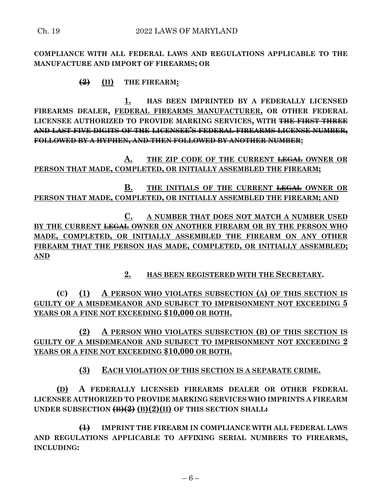**COMPLIANCE WITH ALL FEDERAL LAWS AND REGULATIONS APPLICABLE TO THE MANUFACTURE AND IMPORT OF FIREARMS; OR**

### **(2) (II) THE FIREARM:**

**1. HAS BEEN IMPRINTED BY A FEDERALLY LICENSED FIREARMS DEALER, FEDERAL FIREARMS MANUFACTURER, OR OTHER FEDERAL LICENSEE AUTHORIZED TO PROVIDE MARKING SERVICES, WITH THE FIRST THREE AND LAST FIVE DIGITS OF THE LICENSEE'S FEDERAL FIREARMS LICENSE NUMBER, FOLLOWED BY A HYPHEN, AND THEN FOLLOWED BY ANOTHER NUMBER:**

**A. THE ZIP CODE OF THE CURRENT LEGAL OWNER OR PERSON THAT MADE, COMPLETED, OR INITIALLY ASSEMBLED THE FIREARM;**

**B. THE INITIALS OF THE CURRENT LEGAL OWNER OR PERSON THAT MADE, COMPLETED, OR INITIALLY ASSEMBLED THE FIREARM; AND**

**C. A NUMBER THAT DOES NOT MATCH A NUMBER USED BY THE CURRENT LEGAL OWNER ON ANOTHER FIREARM OR BY THE PERSON WHO MADE, COMPLETED, OR INITIALLY ASSEMBLED THE FIREARM ON ANY OTHER FIREARM THAT THE PERSON HAS MADE, COMPLETED, OR INITIALLY ASSEMBLED; AND**

**2. HAS BEEN REGISTERED WITH THE SECRETARY.**

**(C) (1) A PERSON WHO VIOLATES SUBSECTION (A) OF THIS SECTION IS GUILTY OF A MISDEMEANOR AND SUBJECT TO IMPRISONMENT NOT EXCEEDING 5 YEARS OR A FINE NOT EXCEEDING \$10,000 OR BOTH.**

**(2) A PERSON WHO VIOLATES SUBSECTION (B) OF THIS SECTION IS GUILTY OF A MISDEMEANOR AND SUBJECT TO IMPRISONMENT NOT EXCEEDING 2 YEARS OR A FINE NOT EXCEEDING \$10,000 OR BOTH.**

**(3) EACH VIOLATION OF THIS SECTION IS A SEPARATE CRIME.**

**(D) A FEDERALLY LICENSED FIREARMS DEALER OR OTHER FEDERAL LICENSEE AUTHORIZED TO PROVIDE MARKING SERVICES WHO IMPRINTS A FIREARM UNDER SUBSECTION (B)(2) (B)(2)(II) OF THIS SECTION SHALL:**

**(1) IMPRINT THE FIREARM IN COMPLIANCE WITH ALL FEDERAL LAWS AND REGULATIONS APPLICABLE TO AFFIXING SERIAL NUMBERS TO FIREARMS, INCLUDING:**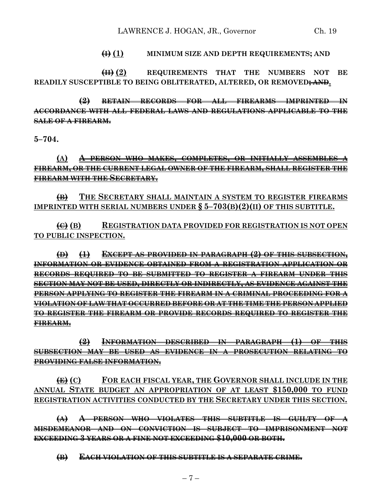#### **(I) (1) MINIMUM SIZE AND DEPTH REQUIREMENTS; AND**

**(II) (2) REQUIREMENTS THAT THE NUMBERS NOT BE READILY SUSCEPTIBLE TO BEING OBLITERATED, ALTERED, OR REMOVED; AND.**

**(2) RETAIN RECORDS FOR ALL FIREARMS IMPRINTED IN ACCORDANCE WITH ALL FEDERAL LAWS AND REGULATIONS APPLICABLE TO THE SALE OF A FIREARM.**

**5–704.**

**(A) A PERSON WHO MAKES, COMPLETES, OR INITIALLY ASSEMBLES A FIREARM, OR THE CURRENT LEGAL OWNER OF THE FIREARM, SHALL REGISTER THE FIREARM WITH THE SECRETARY.**

**(B) THE SECRETARY SHALL MAINTAIN A SYSTEM TO REGISTER FIREARMS IMPRINTED WITH SERIAL NUMBERS UNDER § 5–703(B)(2)(II) OF THIS SUBTITLE.**

**(C) (B) REGISTRATION DATA PROVIDED FOR REGISTRATION IS NOT OPEN TO PUBLIC INSPECTION.**

**(D) (1) EXCEPT AS PROVIDED IN PARAGRAPH (2) OF THIS SUBSECTION, INFORMATION OR EVIDENCE OBTAINED FROM A REGISTRATION APPLICATION OR RECORDS REQUIRED TO BE SUBMITTED TO REGISTER A FIREARM UNDER THIS SECTION MAY NOT BE USED, DIRECTLY OR INDIRECTLY, AS EVIDENCE AGAINST THE PERSON APPLYING TO REGISTER THE FIREARM IN A CRIMINAL PROCEEDING FOR A VIOLATION OF LAW THAT OCCURRED BEFORE OR AT THE TIME THE PERSON APPLIED TO REGISTER THE FIREARM OR PROVIDE RECORDS REQUIRED TO REGISTER THE FIREARM.**

**(2) INFORMATION DESCRIBED IN PARAGRAPH (1) OF THIS SUBSECTION MAY BE USED AS EVIDENCE IN A PROSECUTION RELATING TO PROVIDING FALSE INFORMATION.**

**(E) (C) FOR EACH FISCAL YEAR, THE GOVERNOR SHALL INCLUDE IN THE ANNUAL STATE BUDGET AN APPROPRIATION OF AT LEAST \$150,000 TO FUND REGISTRATION ACTIVITIES CONDUCTED BY THE SECRETARY UNDER THIS SECTION.**

**(A) A PERSON WHO VIOLATES THIS SUBTITLE IS GUILTY OF A MISDEMEANOR AND ON CONVICTION IS SUBJECT TO IMPRISONMENT NOT EXCEEDING 3 YEARS OR A FINE NOT EXCEEDING \$10,000 OR BOTH.**

**(B) EACH VIOLATION OF THIS SUBTITLE IS A SEPARATE CRIME.**